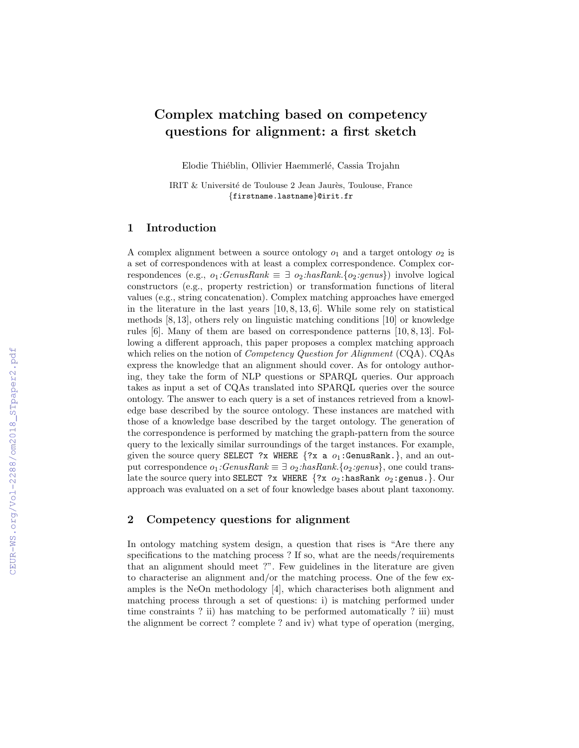# Complex matching based on competency questions for alignment: a first sketch

Elodie Thiéblin, Ollivier Haemmerlé, Cassia Trojahn

IRIT & Université de Toulouse 2 Jean Jaurès, Toulouse, France {firstname.lastname}@irit.fr

# 1 Introduction

A complex alignment between a source ontology  $o_1$  and a target ontology  $o_2$  is a set of correspondences with at least a complex correspondence. Complex correspondences (e.g.,  $o_1:GenusRank \equiv \exists o_2:hashank.$  { $o_2:genus$ }) involve logical constructors (e.g., property restriction) or transformation functions of literal values (e.g., string concatenation). Complex matching approaches have emerged in the literature in the last years  $[10, 8, 13, 6]$ . While some rely on statistical methods [8, 13], others rely on linguistic matching conditions [10] or knowledge rules [6]. Many of them are based on correspondence patterns [10, 8, 13]. Following a different approach, this paper proposes a complex matching approach which relies on the notion of *Competency Question for Alignment* (CQA). CQAs express the knowledge that an alignment should cover. As for ontology authoring, they take the form of NLP questions or SPARQL queries. Our approach takes as input a set of CQAs translated into SPARQL queries over the source ontology. The answer to each query is a set of instances retrieved from a knowledge base described by the source ontology. These instances are matched with those of a knowledge base described by the target ontology. The generation of the correspondence is performed by matching the graph-pattern from the source query to the lexically similar surroundings of the target instances. For example, given the source query SELECT ?x WHERE  $\{?x \text{ a } o_1: \text{GenusRank.}\},$  and an output correspondence  $o_1$ :GenusRank  $\equiv \exists o_2$ :hasRank.{ $o_2$ :genus}, one could translate the source query into SELECT ?x WHERE  $\{?x \ o_2: \text{hasRank } o_2: \text{genus.}\}\}.$  Our approach was evaluated on a set of four knowledge bases about plant taxonomy.

# 2 Competency questions for alignment

In ontology matching system design, a question that rises is "Are there any specifications to the matching process? If so, what are the needs/requirements that an alignment should meet ?". Few guidelines in the literature are given to characterise an alignment and/or the matching process. One of the few examples is the NeOn methodology [4], which characterises both alignment and matching process through a set of questions: i) is matching performed under time constraints ? ii) has matching to be performed automatically ? iii) must the alignment be correct ? complete ? and iv) what type of operation (merging,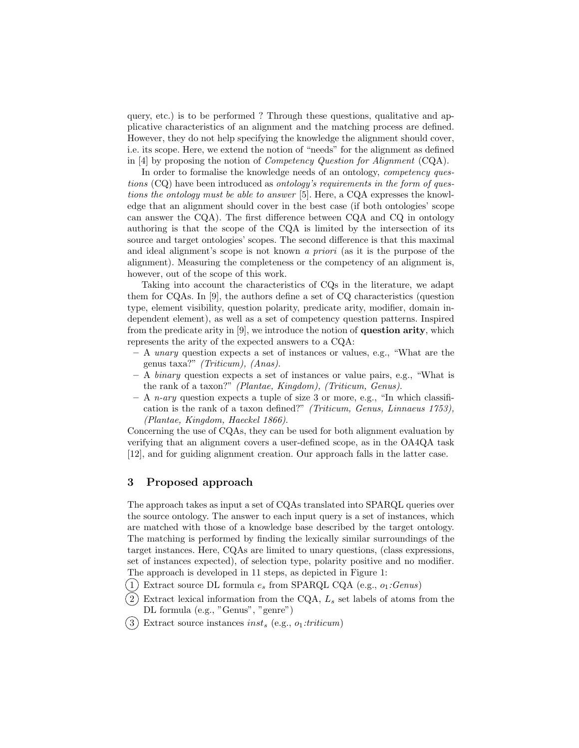query, etc.) is to be performed ? Through these questions, qualitative and applicative characteristics of an alignment and the matching process are defined. However, they do not help specifying the knowledge the alignment should cover, i.e. its scope. Here, we extend the notion of "needs" for the alignment as defined in [4] by proposing the notion of Competency Question for Alignment (CQA).

In order to formalise the knowledge needs of an ontology, *competency ques*tions (CQ) have been introduced as ontology's requirements in the form of questions the ontology must be able to answer [5]. Here, a CQA expresses the knowledge that an alignment should cover in the best case (if both ontologies' scope can answer the CQA). The first difference between CQA and CQ in ontology authoring is that the scope of the CQA is limited by the intersection of its source and target ontologies' scopes. The second difference is that this maximal and ideal alignment's scope is not known a priori (as it is the purpose of the alignment). Measuring the completeness or the competency of an alignment is, however, out of the scope of this work.

Taking into account the characteristics of CQs in the literature, we adapt them for CQAs. In [9], the authors define a set of CQ characteristics (question type, element visibility, question polarity, predicate arity, modifier, domain independent element), as well as a set of competency question patterns. Inspired from the predicate arity in [9], we introduce the notion of question arity, which represents the arity of the expected answers to a CQA:

- A unary question expects a set of instances or values, e.g., "What are the genus taxa?" (Triticum), (Anas).
- $A$  binary question expects a set of instances or value pairs, e.g., "What is the rank of a taxon?" (Plantae, Kingdom), (Triticum, Genus).
- A *n-ary* question expects a tuple of size 3 or more, e.g., "In which classification is the rank of a taxon defined?" (Triticum, Genus, Linnaeus 1753), (Plantae, Kingdom, Haeckel 1866).

Concerning the use of CQAs, they can be used for both alignment evaluation by verifying that an alignment covers a user-defined scope, as in the OA4QA task [12], and for guiding alignment creation. Our approach falls in the latter case.

# 3 Proposed approach

The approach takes as input a set of CQAs translated into SPARQL queries over the source ontology. The answer to each input query is a set of instances, which are matched with those of a knowledge base described by the target ontology. The matching is performed by finding the lexically similar surroundings of the target instances. Here, CQAs are limited to unary questions, (class expressions, set of instances expected), of selection type, polarity positive and no modifier. The approach is developed in 11 steps, as depicted in Figure 1:

- $(1)$  Extract source DL formula  $e_s$  from SPARQL CQA (e.g.,  $o_1:Genus)$ )
- $(2)$  Extract lexical information from the CQA,  $L_s$  set labels of atoms from the DL formula (e.g., "Genus", "genre")
- $(3)$  Extract source instances inst<sub>s</sub> (e.g.,  $o_1:triticum$ )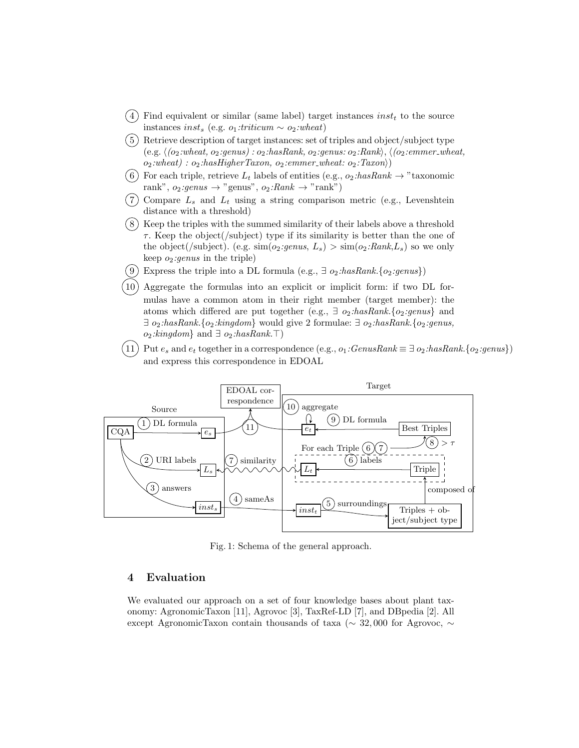- $(4)$  Find equivalent or similar (same label) target instances *inst<sub>t</sub>* to the source instances inst<sub>s</sub> (e.g. o<sub>1</sub>:triticum ∼ o<sub>2</sub>:wheat)
- $(5)$  Retrieve description of target instances: set of triples and object/subject type (e.g.  $\langle$  (o<sub>2</sub>:wheat, o<sub>2</sub>:genus) : o<sub>2</sub>:hasRank, o<sub>2</sub>:genus: o<sub>2</sub>:Rank),  $\langle$  (o<sub>2</sub>:emmer\_wheat,  $o_2:$ wheat) :  $o_2:$ hasHigherTaxon,  $o_2:$ emmer\_wheat:  $o_2:$ Taxon $\rangle$ )
- 6) For each triple, retrieve  $L_t$  labels of entities (e.g.,  $o_2: hasRank \rightarrow "taxonomic$ rank",  $o_2:genus \rightarrow "genus", o_2:Rank \rightarrow "rank")$
- $(7)$  Compare  $L_s$  and  $L_t$  using a string comparison metric (e.g., Levenshtein distance with a threshold)
- 8 Keep the triples with the summed similarity of their labels above a threshold  $\tau$ . Keep the object(/subject) type if its similarity is better than the one of the object(/subject). (e.g.  $\text{sim}(o_2:genus, L_s) > \text{sim}(o_2:Rank, L_s)$  so we only keep  $o_2:genus$  in the triple)
- (9) Express the triple into a DL formula (e.g.,  $\exists$  o<sub>2</sub>:hasRank.{o<sub>2</sub>:genus})
- Aggregate the formulas into an explicit or implicit form: if two DL formulas have a common atom in their right member (target member): the atoms which differed are put together (e.g.,  $\exists$  o<sub>2</sub>:hasRank.{o<sub>2</sub>:genus} and  $\exists$  o<sub>2</sub>:hasRank.{o<sub>2</sub>:kingdom} would give 2 formulae:  $\exists$  o<sub>2</sub>:hasRank.{o<sub>2</sub>:genus, *o*<sub>2</sub>:*kingdom*} and ∃ *o*<sub>2</sub>:*hasRank*. $\top$ )
- 11) Put  $e_s$  and  $e_t$  together in a correspondence (e.g.,  $o_1:GenusRank \equiv \exists o_2:hashank.$  { $o_2:genus\}$ } and express this correspondence in EDOAL



Fig. 1: Schema of the general approach.

# 4 Evaluation

We evaluated our approach on a set of four knowledge bases about plant taxonomy: AgronomicTaxon [11], Agrovoc [3], TaxRef-LD [7], and DBpedia [2]. All except AgronomicTaxon contain thousands of taxa (∼ 32, 000 for Agrovoc, ∼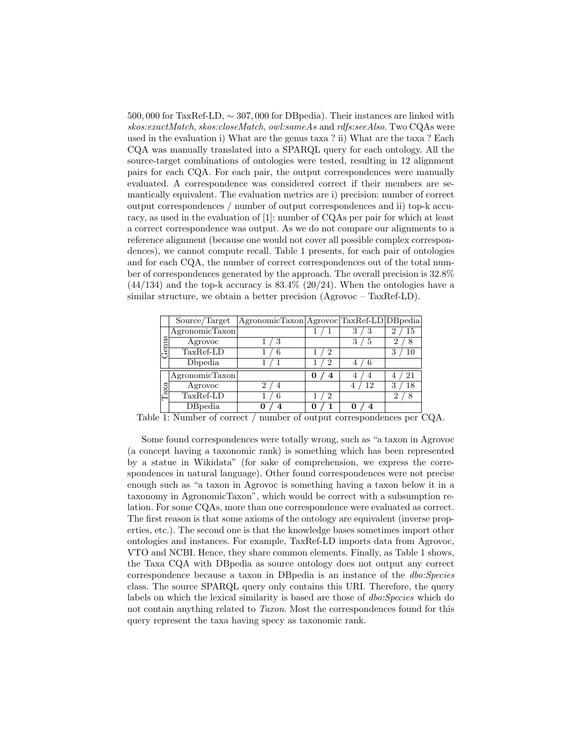500, 000 for TaxRef-LD, ∼ 307, 000 for DBpedia). Their instances are linked with skos:exactMatch, skos:closeMatch, owl:sameAs and rdfs:seeAlso. Two CQAs were used in the evaluation i) What are the genus taxa ? ii) What are the taxa ? Each CQA was manually translated into a SPARQL query for each ontology. All the source-target combinations of ontologies were tested, resulting in 12 alignment pairs for each CQA. For each pair, the output correspondences were manually evaluated. A correspondence was considered correct if their members are semantically equivalent. The evaluation metrics are i) precision: number of correct output correspondences / number of output correspondences and ii) top-k accuracy, as used in the evaluation of [1]: number of CQAs per pair for which at least a correct correspondence was output. As we do not compare our alignments to a reference alignment (because one would not cover all possible complex correspondences), we cannot compute recall. Table 1 presents, for each pair of ontologies and for each CQA, the number of correct correspondences out of the total number of correspondences generated by the approach. The overall precision is 32.8%  $(44/134)$  and the top-k accuracy is  $83.4\%$   $(20/24)$ . When the ontologies have a similar structure, we obtain a better precision (Agrovoc – TaxRef-LD).

|      | Source/Target  | AgronomicTaxon   Agrovoc   TaxRef-LD   DB pedia |        |    |    |
|------|----------------|-------------------------------------------------|--------|----|----|
| enus | AgronomicTaxon |                                                 |        | Ő  | 15 |
|      | Agrovoc        |                                                 |        | 3  |    |
|      | TaxRef-LD      | 6                                               | 2      |    |    |
|      | Dhpedia        |                                                 | 2      |    |    |
| Таха | AgronomicTaxon |                                                 | 0<br>4 |    |    |
|      | Agrovoc        |                                                 |        | 12 | 18 |
|      | TaxRef-LD      | 6                                               | 2      |    |    |
|      | DBpedia        |                                                 |        |    |    |

Table 1: Number of correct / number of output correspondences per CQA.

Some found correspondences were totally wrong, such as "a taxon in Agrovoc (a concept having a taxonomic rank) is something which has been represented by a statue in Wikidata" (for sake of comprehension, we express the correspondences in natural language). Other found correspondences were not precise enough such as "a taxon in Agrovoc is something having a taxon below it in a taxonomy in AgronomicTaxon", which would be correct with a subsumption relation. For some CQAs, more than one correspondence were evaluated as correct. The first reason is that some axioms of the ontology are equivalent (inverse properties, etc.). The second one is that the knowledge bases sometimes import other ontologies and instances. For example, TaxRef-LD imports data from Agrovoc, VTO and NCBI. Hence, they share common elements. Finally, as Table 1 shows, the Taxa CQA with DBpedia as source ontology does not output any correct correspondence because a taxon in DBpedia is an instance of the dbo:Species class. The source SPARQL query only contains this URI. Therefore, the query labels on which the lexical similarity is based are those of *dbo:Species* which do not contain anything related to Taxon. Most the correspondences found for this query represent the taxa having specy as taxonomic rank.